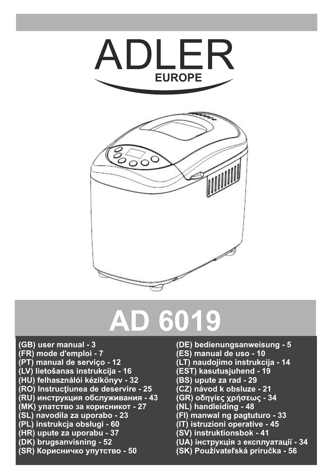



## **AD 6019**

- **(GB)** user manual 3<br>(FR) mode d'emploi 7
- **(FR) mode d'emploi 7 (ES) manual de uso 10**
- 
- **(LV) lietošanas instrukcija 16 (EST) kasutusjuhend 19**
- **(HU) felhasználói kézikönyv 32 (BS) upute za rad 29**
- **(RO) Instrucţiunea de deservire 25 (CZ) návod k obsluze 21**
- **(RU) инструкция обслуживания 43 (GR) οδηγίες χρήσεως 34**
- **(МК) упатство за корисникот 27**<br>(SL) navodila za uporabo 23
- 
- 
- 
- 
- **(SR) Корисничко упутство 50 (SK) Používateľská príručka 56**
- **user manual 3 (DE) bedienungsanweisung 5**
- 
- **(PT) manual de serviço 12 (LT) naudojimo instrukcija 14**
- 
- 
- 
- 
- 
- **(SL) navodila za uporabo 23 (FI) manwal ng pagtuturo 33**
- **(PL) instrukcja obsługi 60 (IT) istruzioni operative 45**
- **(HR) upute za uporabu 37 (SV) instruktionsbok 41**
- **(DK) brugsanvisning 52 (UA) інструкція з експлуатації 34**
	-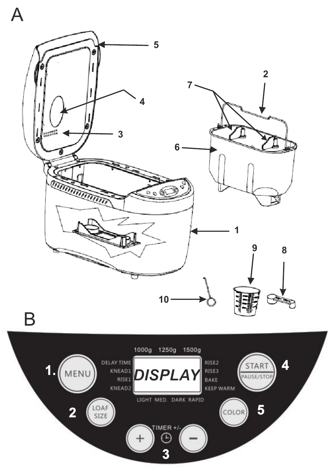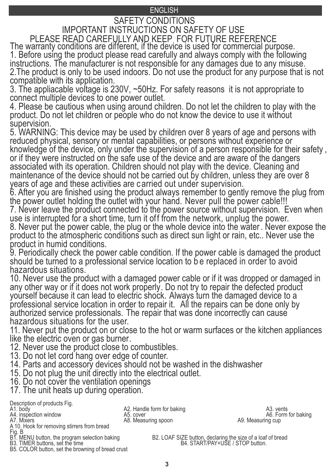## ENGLISH

## ENGLISH IMPORTANT INSTRUCTIONS ON SAFETY OF USE SAFETY CONDITIONS

The warranty conditions are different, if the device is used for commercial purpose. 1. Before using the product please read carefully and always comply with the following instructions. The manufacturer is not responsible for any damages due to any misuse. 2.The product is only to be used indoors. Do not use the product for any purpose that is not compatible with its application. PLEASE READ CAREFULLY AND KEEP FOR FUTURE REFERENCE

3. The appliacable voltage is 230V, ~50Hz. For safety reasons it is not appropriate to connect multiple devices to one power outlet.

4. Please be cautious when using around children. Do not let the children to play with the product. Do not let children or people who do not know the device to use it without supervision.

5. WARNING: This device may be used by children over 8 years of age and persons with reduced physical, sensory or mental capabilities, or persons without experience or knowledge of the device, only under the supervision of a person responsible for their safety , or if they were instructed on the safe use of the device and are aware of the dangers associated with its operation. Children should not play with the device. Cleaning and maintenance of the device should not be carried out by children, unless they are over 8 years of age and these activities are carried out under supervision.

6. After you are finished using the product always remember to gently remove the plug from the power outlet holding the outlet with your hand. Never pull the power cable!!!

7. Never leave the product connected to the power source without supervision. Even when use is interrupted for a short time, turn it off from the network, unplug the power.

8. Never put the power cable, the plug or the whole device into the water. Never expose the product to the atmospheric conditions such as direct sun light or rain, etc.. Never use the product in humid conditions.

9. Periodically check the power cable condition. If the power cable is damaged the product should be turned to a professional service location to b e replaced in order to avoid hazardous situations.

10. Never use the product with a damaged power cable or if it was dropped or damaged in any other way or if it does not work properly. Do not try to repair the defected product yourself because it can lead to electric shock. Always turn the damaged device to a professional service location in order to repair it. All the repairs can be done only by authorized service professionals. The repair that was done incorrectly can cause hazardous situations for the user.

11. Never put the product on or close to the hot or warm surfaces or the kitchen appliances like the electric oven or gas burner.

- 12. Never use the product close to combustibles.
- 13. Do not let cord hang over edge of counter.
- 14. Parts and accessory devices should not be washed in the dishwasher
- 15. Do not plug the unit directly into the electrical outlet.
- 16. Do not cover the ventilation openings
- 17. The unit heats up during operation.

Description of products Fig.<br>A1. body

- 
- 

A 10. Hook for removing stirrers from bread

Fig. B<br>B1. MENU button, the program selection baking

B5. COLOR button, set the browning of bread crust

A4. inspection window A5. cover A6. Form for a state of the A5. cover A6. Form for a state and a A5. cover A6. Form for a A9. Measuring cup A2. Mixers Company<br>A5. cover<br>A8. Measuring spoon

A2. Handle form for baking<br>A5. cover A5. cover A5. A5. A6. Form for baking

B1. MENU button, the program selection baking B2. LOAF SIZE button, declaring the size of a loaf of bread B3. TIMER buttons, set the time B4. START/PAY+USE / STOP button.